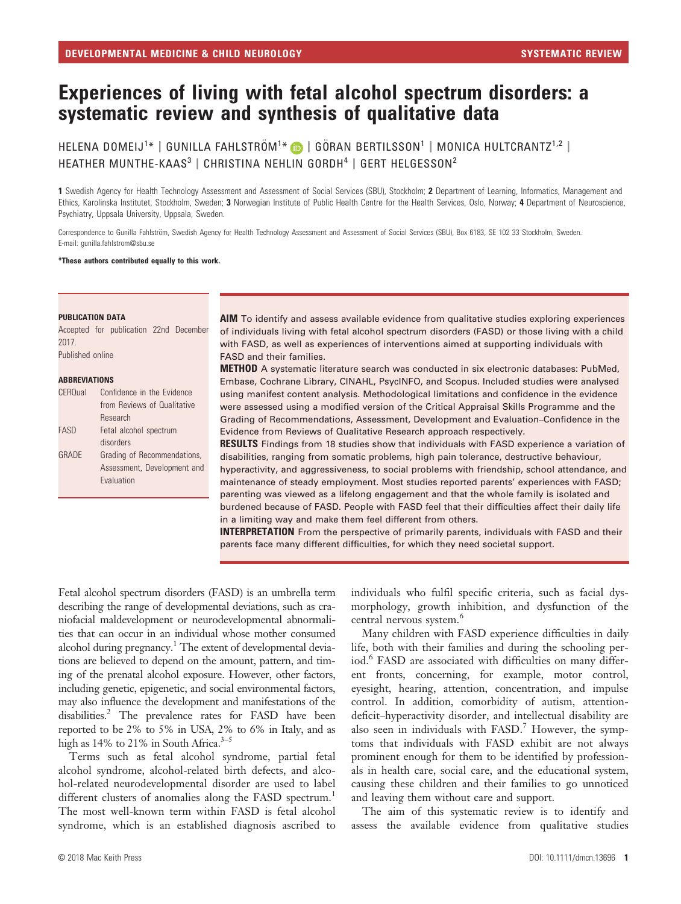# Experiences of living with fetal alcohol spectrum disorders: a systematic review and synthesis of qualitative data

HELENA DOMEIJ $^{1*}$  | GUNILLA FAHLSTRÖM $^{1*}$  (D | GÖRAN BERTILSSON $^{1}$  | MONICA HULTCRANTZ $^{1,2}$  | HEATHER MUNTHE-KAAS<sup>3</sup> | CHRISTINA NEHLIN GORDH<sup>4</sup> | GERT HELGESSON<sup>2</sup>

1 Swedish Agency for Health Technology Assessment and Assessment of Social Services (SBU), Stockholm; 2 Department of Learning, Informatics, Management and Ethics, Karolinska Institutet, Stockholm, Sweden; 3 Norwegian Institute of Public Health Centre for the Health Services, Oslo, Norway; 4 Department of Neuroscience, Psychiatry, Uppsala University, Uppsala, Sweden.

Correspondence to Gunilla Fahlström, Swedish Agency for Health Technology Assessment and Assessment of Social Services (SBU), Box 6183, SE 102 33 Stockholm, Sweden. E-mail: gunilla.fahlstrom@sbu.se

#### \*These authors contributed equally to this work.

#### PUBLICATION DATA

Accepted for publication 22nd December 2017. Published online

#### ABBREVIATIONS

| CEROual | Confidence in the Evidence  |
|---------|-----------------------------|
|         | from Reviews of Qualitative |
|         | <b>Research</b>             |
| FASD    | Fetal alcohol spectrum      |
|         | disorders                   |
| GRADE   | Grading of Recommendations, |
|         | Assessment, Development and |
|         | Evaluation                  |
|         |                             |

AIM To identify and assess available evidence from qualitative studies exploring experiences of individuals living with fetal alcohol spectrum disorders (FASD) or those living with a child with FASD, as well as experiences of interventions aimed at supporting individuals with FASD and their families.

METHOD A systematic literature search was conducted in six electronic databases: PubMed, Embase, Cochrane Library, CINAHL, PsycINFO, and Scopus. Included studies were analysed using manifest content analysis. Methodological limitations and confidence in the evidence were assessed using a modified version of the Critical Appraisal Skills Programme and the Grading of Recommendations, Assessment, Development and Evaluation–Confidence in the Evidence from Reviews of Qualitative Research approach respectively.

**RESULTS** Findings from 18 studies show that individuals with FASD experience a variation of disabilities, ranging from somatic problems, high pain tolerance, destructive behaviour, hyperactivity, and aggressiveness, to social problems with friendship, school attendance, and maintenance of steady employment. Most studies reported parents' experiences with FASD; parenting was viewed as a lifelong engagement and that the whole family is isolated and burdened because of FASD. People with FASD feel that their difficulties affect their daily life in a limiting way and make them feel different from others.

**INTERPRETATION** From the perspective of primarily parents, individuals with FASD and their parents face many different difficulties, for which they need societal support.

Fetal alcohol spectrum disorders (FASD) is an umbrella term describing the range of developmental deviations, such as craniofacial maldevelopment or neurodevelopmental abnormalities that can occur in an individual whose mother consumed alcohol during pregnancy.<sup>1</sup> The extent of developmental deviations are believed to depend on the amount, pattern, and timing of the prenatal alcohol exposure. However, other factors, including genetic, epigenetic, and social environmental factors, may also influence the development and manifestations of the disabilities.<sup>2</sup> The prevalence rates for FASD have been reported to be 2% to 5% in USA, 2% to 6% in Italy, and as high as 14% to 21% in South Africa. $3-5$ 

Terms such as fetal alcohol syndrome, partial fetal alcohol syndrome, alcohol-related birth defects, and alcohol-related neurodevelopmental disorder are used to label different clusters of anomalies along the FASD spectrum.<sup>1</sup> The most well-known term within FASD is fetal alcohol syndrome, which is an established diagnosis ascribed to

individuals who fulfil specific criteria, such as facial dysmorphology, growth inhibition, and dysfunction of the central nervous system.<sup>6</sup>

Many children with FASD experience difficulties in daily life, both with their families and during the schooling period.<sup>6</sup> FASD are associated with difficulties on many different fronts, concerning, for example, motor control, eyesight, hearing, attention, concentration, and impulse control. In addition, comorbidity of autism, attentiondeficit–hyperactivity disorder, and intellectual disability are also seen in individuals with  $FASD<sup>7</sup>$  However, the symptoms that individuals with FASD exhibit are not always prominent enough for them to be identified by professionals in health care, social care, and the educational system, causing these children and their families to go unnoticed and leaving them without care and support.

The aim of this systematic review is to identify and assess the available evidence from qualitative studies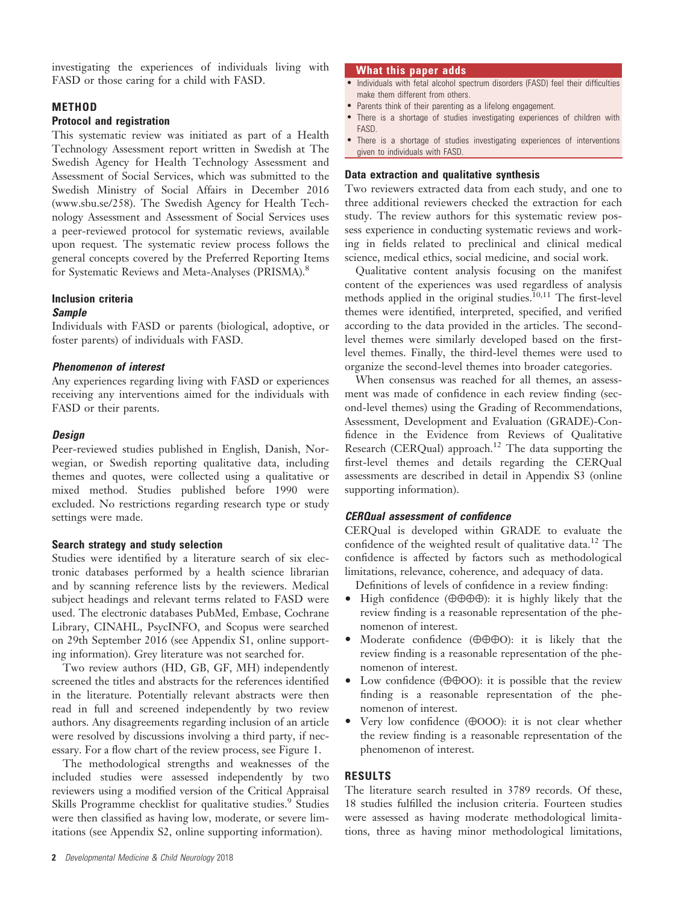investigating the experiences of individuals living with FASD or those caring for a child with FASD.

## METHOD

#### Protocol and registration

This systematic review was initiated as part of a Health Technology Assessment report written in Swedish at The Swedish Agency for Health Technology Assessment and Assessment of Social Services, which was submitted to the Swedish Ministry of Social Affairs in December 2016 [\(www.sbu.se/258](http://www.sbu.se/258)). The Swedish Agency for Health Technology Assessment and Assessment of Social Services uses a peer-reviewed protocol for systematic reviews, available upon request. The systematic review process follows the general concepts covered by the Preferred Reporting Items for Systematic Reviews and Meta-Analyses (PRISMA).<sup>8</sup>

## Inclusion criteria

#### Sample

Individuals with FASD or parents (biological, adoptive, or foster parents) of individuals with FASD.

#### Phenomenon of interest

Any experiences regarding living with FASD or experiences receiving any interventions aimed for the individuals with FASD or their parents.

## **Design**

Peer-reviewed studies published in English, Danish, Norwegian, or Swedish reporting qualitative data, including themes and quotes, were collected using a qualitative or mixed method. Studies published before 1990 were excluded. No restrictions regarding research type or study settings were made.

# Search strategy and study selection

Studies were identified by a literature search of six electronic databases performed by a health science librarian and by scanning reference lists by the reviewers. Medical subject headings and relevant terms related to FASD were used. The electronic databases PubMed, Embase, Cochrane Library, CINAHL, PsycINFO, and Scopus were searched on 29th September 2016 (see Appendix S1, online supporting information). Grey literature was not searched for.

Two review authors (HD, GB, GF, MH) independently screened the titles and abstracts for the references identified in the literature. Potentially relevant abstracts were then read in full and screened independently by two review authors. Any disagreements regarding inclusion of an article were resolved by discussions involving a third party, if necessary. For a flow chart of the review process, see Figure 1.

The methodological strengths and weaknesses of the included studies were assessed independently by two reviewers using a modified version of the Critical Appraisal Skills Programme checklist for qualitative studies.<sup>9</sup> Studies were then classified as having low, moderate, or severe limitations (see Appendix S2, online supporting information).

#### What this paper adds

- Individuals with fetal alcohol spectrum disorders (FASD) feel their difficulties make them different from others.
- Parents think of their parenting as a lifelong engagement.
- There is a shortage of studies investigating experiences of children with FASD.
- There is a shortage of studies investigating experiences of interventions given to individuals with FASD.

# Data extraction and qualitative synthesis

Two reviewers extracted data from each study, and one to three additional reviewers checked the extraction for each study. The review authors for this systematic review possess experience in conducting systematic reviews and working in fields related to preclinical and clinical medical science, medical ethics, social medicine, and social work.

Qualitative content analysis focusing on the manifest content of the experiences was used regardless of analysis methods applied in the original studies.<sup>10,11</sup> The first-level themes were identified, interpreted, specified, and verified according to the data provided in the articles. The secondlevel themes were similarly developed based on the firstlevel themes. Finally, the third-level themes were used to organize the second-level themes into broader categories.

When consensus was reached for all themes, an assessment was made of confidence in each review finding (second-level themes) using the Grading of Recommendations, Assessment, Development and Evaluation (GRADE)-Confidence in the Evidence from Reviews of Qualitative Research (CERQual) approach.<sup>12</sup> The data supporting the first-level themes and details regarding the CERQual assessments are described in detail in Appendix S3 (online supporting information).

# CERQual assessment of confidence

CERQual is developed within GRADE to evaluate the confidence of the weighted result of qualitative data.<sup>12</sup> The confidence is affected by factors such as methodological limitations, relevance, coherence, and adequacy of data.

Definitions of levels of confidence in a review finding:

- High confidence ( $\oplus \oplus \oplus \oplus$ ): it is highly likely that the review finding is a reasonable representation of the phenomenon of interest.
- Moderate confidence (⊕⊕⊕Ο): it is likely that the review finding is a reasonable representation of the phenomenon of interest.
- Low confidence ( $\oplus$   $\oplus$   $\odot$ O): it is possible that the review finding is a reasonable representation of the phenomenon of interest.
- Very low confidence (⊕ΟΟΟ): it is not clear whether the review finding is a reasonable representation of the phenomenon of interest.

## RESULTS

The literature search resulted in 3789 records. Of these, 18 studies fulfilled the inclusion criteria. Fourteen studies were assessed as having moderate methodological limitations, three as having minor methodological limitations,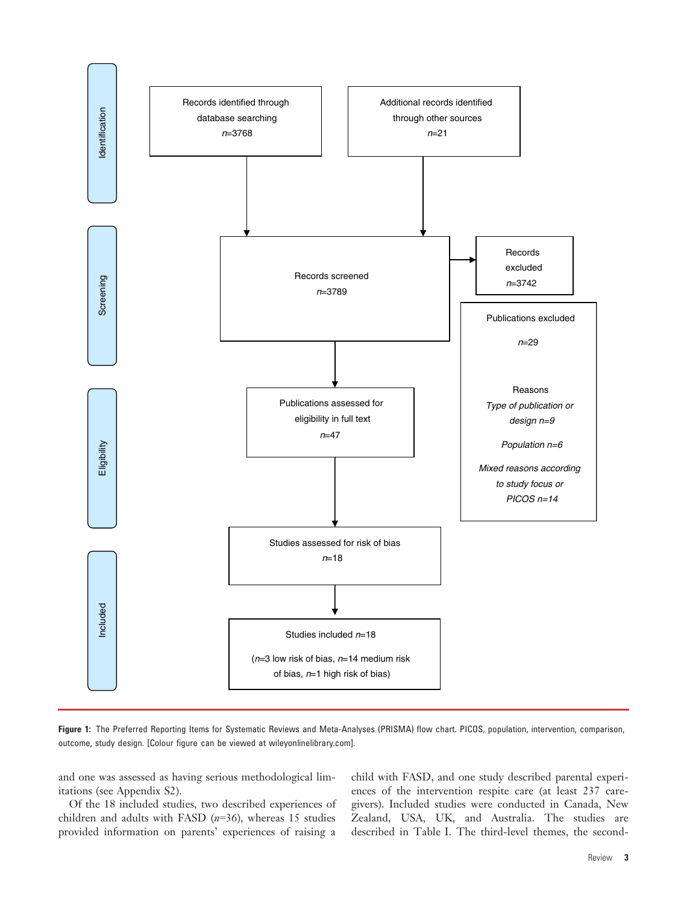

Figure 1: The Preferred Reporting Items for Systematic Reviews and Meta-Analyses (PRISMA) flow chart. PICOS, population, intervention, comparison, outcome, study design. [Colour figure can be viewed at wileyonlinelibrary.com].

and one was assessed as having serious methodological limitations (see Appendix S2).

Of the 18 included studies, two described experiences of children and adults with FASD  $(n=36)$ , whereas 15 studies provided information on parents' experiences of raising a

child with FASD, and one study described parental experiences of the intervention respite care (at least 237 caregivers). Included studies were conducted in Canada, New Zealand, USA, UK, and Australia. The studies are described in Table I. The third-level themes, the second-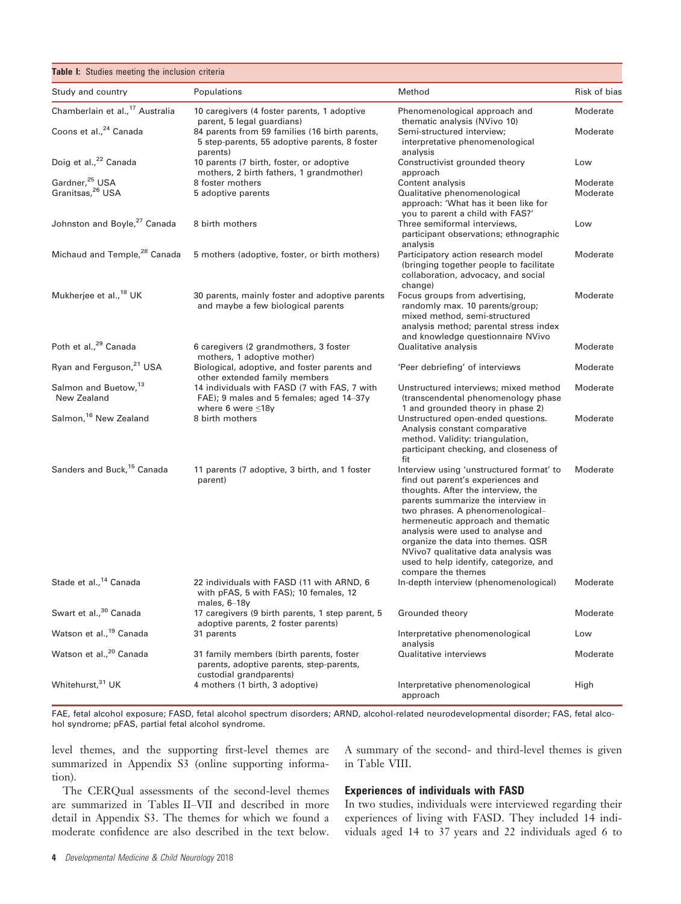| Table I: Studies meeting the inclusion criteria            |                                                                                                                     |                                                                                                                                                                                                                                                                                                                                                                                                                       |                      |  |
|------------------------------------------------------------|---------------------------------------------------------------------------------------------------------------------|-----------------------------------------------------------------------------------------------------------------------------------------------------------------------------------------------------------------------------------------------------------------------------------------------------------------------------------------------------------------------------------------------------------------------|----------------------|--|
| Study and country                                          | Populations                                                                                                         | Method                                                                                                                                                                                                                                                                                                                                                                                                                | Risk of bias         |  |
| Chamberlain et al., <sup>17</sup> Australia                | 10 caregivers (4 foster parents, 1 adoptive<br>parent, 5 legal guardians)                                           | Phenomenological approach and<br>thematic analysis (NVivo 10)                                                                                                                                                                                                                                                                                                                                                         | Moderate             |  |
| Coons et al., <sup>24</sup> Canada                         | 84 parents from 59 families (16 birth parents,<br>5 step-parents, 55 adoptive parents, 8 foster<br>parents)         | Semi-structured interview;<br>interpretative phenomenological<br>analysis                                                                                                                                                                                                                                                                                                                                             | Moderate             |  |
| Doig et al., <sup>22</sup> Canada                          | 10 parents (7 birth, foster, or adoptive<br>mothers, 2 birth fathers, 1 grandmother)                                | Constructivist grounded theory<br>approach                                                                                                                                                                                                                                                                                                                                                                            | Low                  |  |
| Gardner, <sup>25</sup> USA<br>Granitsas, <sup>26</sup> USA | 8 foster mothers<br>5 adoptive parents                                                                              | Content analysis<br>Qualitative phenomenological<br>approach: 'What has it been like for<br>you to parent a child with FAS?'                                                                                                                                                                                                                                                                                          | Moderate<br>Moderate |  |
| Johnston and Boyle, <sup>27</sup> Canada                   | 8 birth mothers                                                                                                     | Three semiformal interviews,<br>participant observations; ethnographic<br>analysis                                                                                                                                                                                                                                                                                                                                    | Low                  |  |
| Michaud and Temple, <sup>28</sup> Canada                   | 5 mothers (adoptive, foster, or birth mothers)                                                                      | Participatory action research model<br>(bringing together people to facilitate)<br>collaboration, advocacy, and social<br>change)                                                                                                                                                                                                                                                                                     | Moderate             |  |
| Mukherjee et al., <sup>18</sup> UK                         | 30 parents, mainly foster and adoptive parents<br>and maybe a few biological parents                                | Focus groups from advertising,<br>randomly max. 10 parents/group;<br>mixed method, semi-structured<br>analysis method; parental stress index<br>and knowledge questionnaire NVivo                                                                                                                                                                                                                                     | Moderate             |  |
| Poth et al., <sup>29</sup> Canada                          | 6 caregivers (2 grandmothers, 3 foster<br>mothers, 1 adoptive mother)                                               | Qualitative analysis                                                                                                                                                                                                                                                                                                                                                                                                  | Moderate             |  |
| Ryan and Ferguson, <sup>21</sup> USA                       | Biological, adoptive, and foster parents and<br>other extended family members                                       | 'Peer debriefing' of interviews                                                                                                                                                                                                                                                                                                                                                                                       | Moderate             |  |
| Salmon and Buetow, <sup>13</sup><br>New Zealand            | 14 individuals with FASD (7 with FAS, 7 with<br>FAE); 9 males and 5 females; aged 14-37y<br>where 6 were $\leq 18y$ | Unstructured interviews; mixed method<br>(transcendental phenomenology phase)<br>1 and grounded theory in phase 2)                                                                                                                                                                                                                                                                                                    | Moderate             |  |
| Salmon, <sup>16</sup> New Zealand                          | 8 birth mothers                                                                                                     | Unstructured open-ended questions.<br>Analysis constant comparative<br>method. Validity: triangulation,<br>participant checking, and closeness of<br>fit                                                                                                                                                                                                                                                              | Moderate             |  |
| Sanders and Buck, <sup>15</sup> Canada                     | 11 parents (7 adoptive, 3 birth, and 1 foster<br>parent)                                                            | Interview using 'unstructured format' to<br>find out parent's experiences and<br>thoughts. After the interview, the<br>parents summarize the interview in<br>two phrases. A phenomenological-<br>hermeneutic approach and thematic<br>analysis were used to analyse and<br>organize the data into themes. QSR<br>NVivo7 qualitative data analysis was<br>used to help identify, categorize, and<br>compare the themes | Moderate             |  |
| Stade et al., <sup>14</sup> Canada                         | 22 individuals with FASD (11 with ARND, 6<br>with pFAS, 5 with FAS); 10 females, 12<br>males, 6-18y                 | In-depth interview (phenomenological)                                                                                                                                                                                                                                                                                                                                                                                 | Moderate             |  |
| Swart et al., <sup>30</sup> Canada                         | 17 caregivers (9 birth parents, 1 step parent, 5<br>adoptive parents, 2 foster parents)                             | Grounded theory                                                                                                                                                                                                                                                                                                                                                                                                       | Moderate             |  |
| Watson et al., <sup>19</sup> Canada                        | 31 parents                                                                                                          | Interpretative phenomenological<br>analysis                                                                                                                                                                                                                                                                                                                                                                           | Low                  |  |
| Watson et al., <sup>20</sup> Canada                        | 31 family members (birth parents, foster<br>parents, adoptive parents, step-parents,<br>custodial grandparents)     | Qualitative interviews                                                                                                                                                                                                                                                                                                                                                                                                | Moderate             |  |
| Whitehurst, 31 UK                                          | 4 mothers (1 birth, 3 adoptive)                                                                                     | Interpretative phenomenological<br>approach                                                                                                                                                                                                                                                                                                                                                                           | High                 |  |

FAE, fetal alcohol exposure; FASD, fetal alcohol spectrum disorders; ARND, alcohol-related neurodevelopmental disorder; FAS, fetal alcohol syndrome; pFAS, partial fetal alcohol syndrome.

level themes, and the supporting first-level themes are summarized in Appendix S3 (online supporting information).

A summary of the second- and third-level themes is given in Table VIII.

The CERQual assessments of the second-level themes are summarized in Tables II–VII and described in more detail in Appendix S3. The themes for which we found a moderate confidence are also described in the text below.

# Experiences of individuals with FASD

In two studies, individuals were interviewed regarding their experiences of living with FASD. They included 14 individuals aged 14 to 37 years and 22 individuals aged 6 to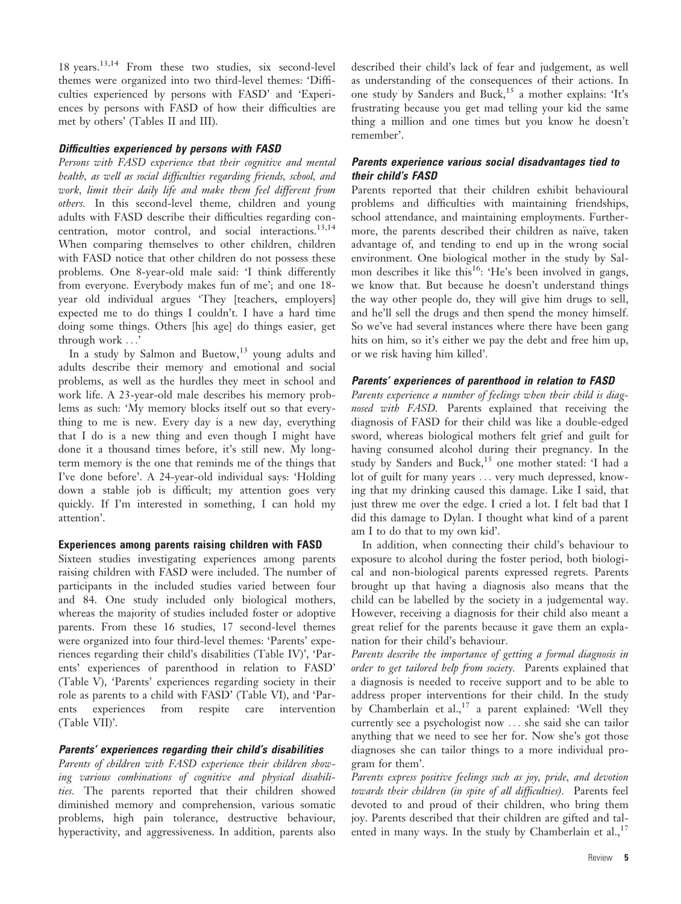18 years.13,14 From these two studies, six second-level themes were organized into two third-level themes: 'Difficulties experienced by persons with FASD' and 'Experiences by persons with FASD of how their difficulties are met by others' (Tables II and III).

## Difficulties experienced by persons with FASD

Persons with FASD experience that their cognitive and mental health, as well as social difficulties regarding friends, school, and work, limit their daily life and make them feel different from others. In this second-level theme, children and young adults with FASD describe their difficulties regarding concentration, motor control, and social interactions.<sup>13,14</sup> When comparing themselves to other children, children with FASD notice that other children do not possess these problems. One 8-year-old male said: 'I think differently from everyone. Everybody makes fun of me'; and one 18 year old individual argues 'They [teachers, employers] expected me to do things I couldn't. I have a hard time doing some things. Others [his age] do things easier, get through work ...'

In a study by Salmon and Buetow, $13$  young adults and adults describe their memory and emotional and social problems, as well as the hurdles they meet in school and work life. A 23-year-old male describes his memory problems as such: 'My memory blocks itself out so that everything to me is new. Every day is a new day, everything that I do is a new thing and even though I might have done it a thousand times before, it's still new. My longterm memory is the one that reminds me of the things that I've done before'. A 24-year-old individual says: 'Holding down a stable job is difficult; my attention goes very quickly. If I'm interested in something, I can hold my attention'.

# Experiences among parents raising children with FASD

Sixteen studies investigating experiences among parents raising children with FASD were included. The number of participants in the included studies varied between four and 84. One study included only biological mothers, whereas the majority of studies included foster or adoptive parents. From these 16 studies, 17 second-level themes were organized into four third-level themes: 'Parents' experiences regarding their child's disabilities (Table IV)', 'Parents' experiences of parenthood in relation to FASD' (Table V), 'Parents' experiences regarding society in their role as parents to a child with FASD' (Table VI), and 'Parents experiences from respite care intervention (Table VII)'.

# Parents' experiences regarding their child's disabilities

Parents of children with FASD experience their children showing various combinations of cognitive and physical disabilities. The parents reported that their children showed diminished memory and comprehension, various somatic problems, high pain tolerance, destructive behaviour, hyperactivity, and aggressiveness. In addition, parents also

described their child's lack of fear and judgement, as well as understanding of the consequences of their actions. In one study by Sanders and Buck,<sup>15</sup> a mother explains: 'It's frustrating because you get mad telling your kid the same thing a million and one times but you know he doesn't remember'.

## Parents experience various social disadvantages tied to their child's FASD

Parents reported that their children exhibit behavioural problems and difficulties with maintaining friendships, school attendance, and maintaining employments. Furthermore, the parents described their children as naïve, taken advantage of, and tending to end up in the wrong social environment. One biological mother in the study by Salmon describes it like this<sup>16</sup>: 'He's been involved in gangs, we know that. But because he doesn't understand things the way other people do, they will give him drugs to sell, and he'll sell the drugs and then spend the money himself. So we've had several instances where there have been gang hits on him, so it's either we pay the debt and free him up, or we risk having him killed'.

# Parents' experiences of parenthood in relation to FASD

Parents experience a number of feelings when their child is diagnosed with FASD. Parents explained that receiving the diagnosis of FASD for their child was like a double-edged sword, whereas biological mothers felt grief and guilt for having consumed alcohol during their pregnancy. In the study by Sanders and Buck,<sup>15</sup> one mother stated: 'I had a lot of guilt for many years ... very much depressed, knowing that my drinking caused this damage. Like I said, that just threw me over the edge. I cried a lot. I felt bad that I did this damage to Dylan. I thought what kind of a parent am I to do that to my own kid'.

In addition, when connecting their child's behaviour to exposure to alcohol during the foster period, both biological and non-biological parents expressed regrets. Parents brought up that having a diagnosis also means that the child can be labelled by the society in a judgemental way. However, receiving a diagnosis for their child also meant a great relief for the parents because it gave them an explanation for their child's behaviour.

Parents describe the importance of getting a formal diagnosis in order to get tailored help from society. Parents explained that a diagnosis is needed to receive support and to be able to address proper interventions for their child. In the study by Chamberlain et  $al$ ,<sup>17</sup> a parent explained: 'Well they currently see a psychologist now ... she said she can tailor anything that we need to see her for. Now she's got those diagnoses she can tailor things to a more individual program for them'.

Parents express positive feelings such as joy, pride, and devotion towards their children (in spite of all difficulties). Parents feel devoted to and proud of their children, who bring them joy. Parents described that their children are gifted and talented in many ways. In the study by Chamberlain et al.,  $17$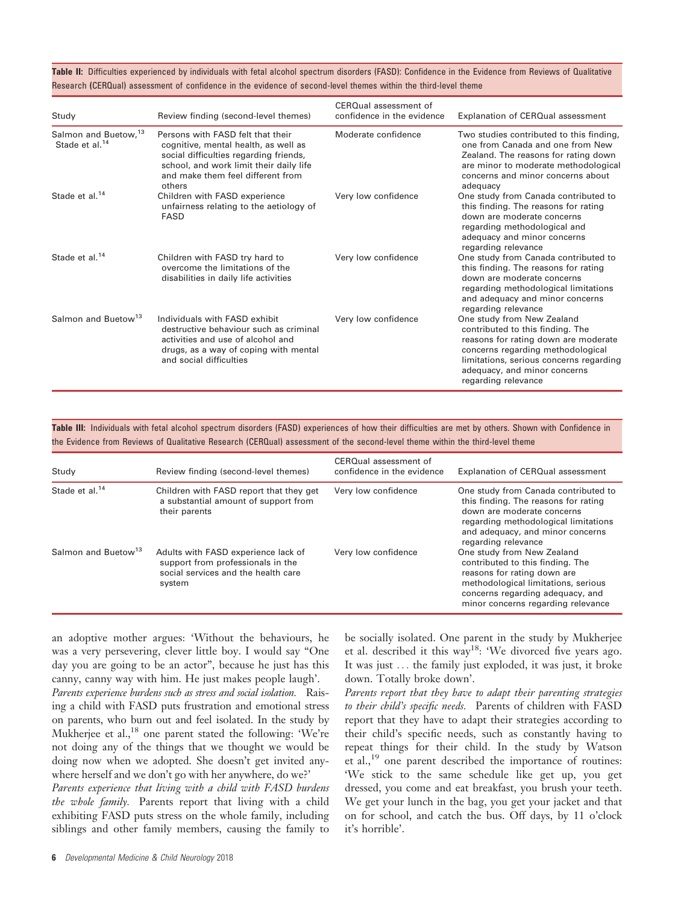Table II: Difficulties experienced by individuals with fetal alcohol spectrum disorders (FASD): Confidence in the Evidence from Reviews of Qualitative Research (CERQual) assessment of confidence in the evidence of second-level themes within the third-level theme

| Study                                               | Review finding (second-level themes)                                                                                                                                                                          | CERQual assessment of<br>confidence in the evidence | Explanation of CERQual assessment                                                                                                                                                                                                             |
|-----------------------------------------------------|---------------------------------------------------------------------------------------------------------------------------------------------------------------------------------------------------------------|-----------------------------------------------------|-----------------------------------------------------------------------------------------------------------------------------------------------------------------------------------------------------------------------------------------------|
| Salmon and Buetow, 13<br>Stade et al. <sup>14</sup> | Persons with FASD felt that their<br>cognitive, mental health, as well as<br>social difficulties regarding friends,<br>school, and work limit their daily life<br>and make them feel different from<br>others | Moderate confidence                                 | Two studies contributed to this finding,<br>one from Canada and one from New<br>Zealand. The reasons for rating down<br>are minor to moderate methodological<br>concerns and minor concerns about<br>adequacy                                 |
| Stade et al. <sup>14</sup>                          | Children with FASD experience<br>unfairness relating to the aetiology of<br><b>FASD</b>                                                                                                                       | Very low confidence                                 | One study from Canada contributed to<br>this finding. The reasons for rating<br>down are moderate concerns<br>regarding methodological and<br>adequacy and minor concerns<br>regarding relevance                                              |
| Stade et al. <sup>14</sup>                          | Children with FASD try hard to<br>overcome the limitations of the<br>disabilities in daily life activities                                                                                                    | Very low confidence                                 | One study from Canada contributed to<br>this finding. The reasons for rating<br>down are moderate concerns<br>regarding methodological limitations<br>and adequacy and minor concerns<br>regarding relevance                                  |
| Salmon and Buetow <sup>13</sup>                     | Individuals with FASD exhibit<br>destructive behaviour such as criminal<br>activities and use of alcohol and<br>drugs, as a way of coping with mental<br>and social difficulties                              | Very low confidence                                 | One study from New Zealand<br>contributed to this finding. The<br>reasons for rating down are moderate<br>concerns regarding methodological<br>limitations, serious concerns regarding<br>adequacy, and minor concerns<br>regarding relevance |

Table III: Individuals with fetal alcohol spectrum disorders (FASD) experiences of how their difficulties are met by others. Shown with Confidence in the Evidence from Reviews of Qualitative Research (CERQual) assessment of the second-level theme within the third-level theme

| Study                           | Review finding (second-level themes)                                                                                      | CERQual assessment of<br>confidence in the evidence | Explanation of CERQual assessment                                                                                                                                                                              |
|---------------------------------|---------------------------------------------------------------------------------------------------------------------------|-----------------------------------------------------|----------------------------------------------------------------------------------------------------------------------------------------------------------------------------------------------------------------|
| Stade et al. <sup>14</sup>      | Children with FASD report that they get<br>a substantial amount of support from<br>their parents                          | Very low confidence                                 | One study from Canada contributed to<br>this finding. The reasons for rating<br>down are moderate concerns<br>regarding methodological limitations<br>and adequacy, and minor concerns<br>regarding relevance  |
| Salmon and Buetow <sup>13</sup> | Adults with FASD experience lack of<br>support from professionals in the<br>social services and the health care<br>system | Very low confidence                                 | One study from New Zealand<br>contributed to this finding. The<br>reasons for rating down are<br>methodological limitations, serious<br>concerns regarding adequacy, and<br>minor concerns regarding relevance |

an adoptive mother argues: 'Without the behaviours, he was a very persevering, clever little boy. I would say "One day you are going to be an actor", because he just has this canny, canny way with him. He just makes people laugh'.

Parents experience burdens such as stress and social isolation. Raising a child with FASD puts frustration and emotional stress on parents, who burn out and feel isolated. In the study by Mukherjee et al.,<sup>18</sup> one parent stated the following: 'We're not doing any of the things that we thought we would be doing now when we adopted. She doesn't get invited anywhere herself and we don't go with her anywhere, do we?'

Parents experience that living with a child with FASD burdens the whole family. Parents report that living with a child exhibiting FASD puts stress on the whole family, including siblings and other family members, causing the family to

6 Developmental Medicine & Child Neurology 2018

be socially isolated. One parent in the study by Mukherjee et al. described it this way<sup>18</sup>: 'We divorced five years ago. It was just ... the family just exploded, it was just, it broke down. Totally broke down'.

Parents report that they have to adapt their parenting strategies to their child's specific needs. Parents of children with FASD report that they have to adapt their strategies according to their child's specific needs, such as constantly having to repeat things for their child. In the study by Watson et al.,<sup>19</sup> one parent described the importance of routines: 'We stick to the same schedule like get up, you get dressed, you come and eat breakfast, you brush your teeth. We get your lunch in the bag, you get your jacket and that on for school, and catch the bus. Off days, by 11 o'clock it's horrible'.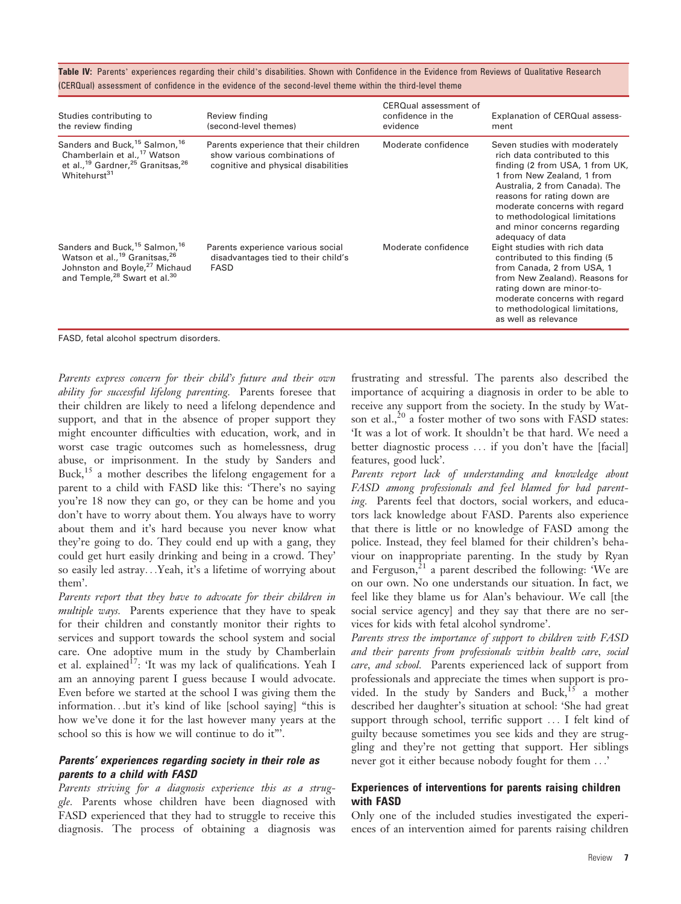Table IV: Parents' experiences regarding their child's disabilities. Shown with Confidence in the Evidence from Reviews of Qualitative Research (CERQual) assessment of confidence in the evidence of the second-level theme within the third-level theme

| Studies contributing to<br>the review finding                                                                                                                                                                       | Review finding<br>(second-level themes)                                                                       | CERQual assessment of<br>confidence in the<br>evidence | Explanation of CERQual assess-<br>ment                                                                                                                                                                                                                                                                                 |
|---------------------------------------------------------------------------------------------------------------------------------------------------------------------------------------------------------------------|---------------------------------------------------------------------------------------------------------------|--------------------------------------------------------|------------------------------------------------------------------------------------------------------------------------------------------------------------------------------------------------------------------------------------------------------------------------------------------------------------------------|
| Sanders and Buck, <sup>15</sup> Salmon, <sup>16</sup><br>Chamberlain et al., <sup>17</sup> Watson<br>et al., <sup>19</sup> Gardner, <sup>25</sup> Granitsas, <sup>26</sup><br>Whitehurst <sup>31</sup>              | Parents experience that their children<br>show various combinations of<br>cognitive and physical disabilities | Moderate confidence                                    | Seven studies with moderately<br>rich data contributed to this<br>finding (2 from USA, 1 from UK,<br>1 from New Zealand, 1 from<br>Australia, 2 from Canada). The<br>reasons for rating down are<br>moderate concerns with regard<br>to methodological limitations<br>and minor concerns regarding<br>adequacy of data |
| Sanders and Buck, <sup>15</sup> Salmon, <sup>16</sup><br>Watson et al., <sup>19</sup> Granitsas, <sup>26</sup><br>Johnston and Boyle, <sup>27</sup> Michaud<br>and Temple, <sup>28</sup> Swart et al. <sup>30</sup> | Parents experience various social<br>disadvantages tied to their child's<br><b>FASD</b>                       | Moderate confidence                                    | Eight studies with rich data<br>contributed to this finding (5)<br>from Canada, 2 from USA, 1<br>from New Zealand). Reasons for<br>rating down are minor-to-<br>moderate concerns with regard<br>to methodological limitations,<br>as well as relevance                                                                |

FASD, fetal alcohol spectrum disorders.

Parents express concern for their child's future and their own ability for successful lifelong parenting. Parents foresee that their children are likely to need a lifelong dependence and support, and that in the absence of proper support they might encounter difficulties with education, work, and in worst case tragic outcomes such as homelessness, drug abuse, or imprisonment. In the study by Sanders and Buck,<sup>15</sup> a mother describes the lifelong engagement for a parent to a child with FASD like this: 'There's no saying you're 18 now they can go, or they can be home and you don't have to worry about them. You always have to worry about them and it's hard because you never know what they're going to do. They could end up with a gang, they could get hurt easily drinking and being in a crowd. They' so easily led astray...Yeah, it's a lifetime of worrying about them'.

Parents report that they have to advocate for their children in multiple ways. Parents experience that they have to speak for their children and constantly monitor their rights to services and support towards the school system and social care. One adoptive mum in the study by Chamberlain et al. explained<sup>17</sup>: 'It was my lack of qualifications. Yeah I am an annoying parent I guess because I would advocate. Even before we started at the school I was giving them the information...but it's kind of like [school saying] "this is how we've done it for the last however many years at the school so this is how we will continue to do it"'.

#### Parents' experiences regarding society in their role as parents to a child with FASD

Parents striving for a diagnosis experience this as a struggle. Parents whose children have been diagnosed with FASD experienced that they had to struggle to receive this diagnosis. The process of obtaining a diagnosis was

frustrating and stressful. The parents also described the importance of acquiring a diagnosis in order to be able to receive any support from the society. In the study by Watson et al., $^{20}$  a foster mother of two sons with FASD states: 'It was a lot of work. It shouldn't be that hard. We need a better diagnostic process ... if you don't have the [facial] features, good luck'.

Parents report lack of understanding and knowledge about FASD among professionals and feel blamed for bad parenting. Parents feel that doctors, social workers, and educators lack knowledge about FASD. Parents also experience that there is little or no knowledge of FASD among the police. Instead, they feel blamed for their children's behaviour on inappropriate parenting. In the study by Ryan and Ferguson, $^{21}$  a parent described the following: 'We are on our own. No one understands our situation. In fact, we feel like they blame us for Alan's behaviour. We call [the social service agency] and they say that there are no services for kids with fetal alcohol syndrome'.

Parents stress the importance of support to children with FASD and their parents from professionals within health care, social care, and school. Parents experienced lack of support from professionals and appreciate the times when support is provided. In the study by Sanders and Buck,  $15$  a mother described her daughter's situation at school: 'She had great support through school, terrific support ... I felt kind of guilty because sometimes you see kids and they are struggling and they're not getting that support. Her siblings never got it either because nobody fought for them ...'

## Experiences of interventions for parents raising children with FASD

Only one of the included studies investigated the experiences of an intervention aimed for parents raising children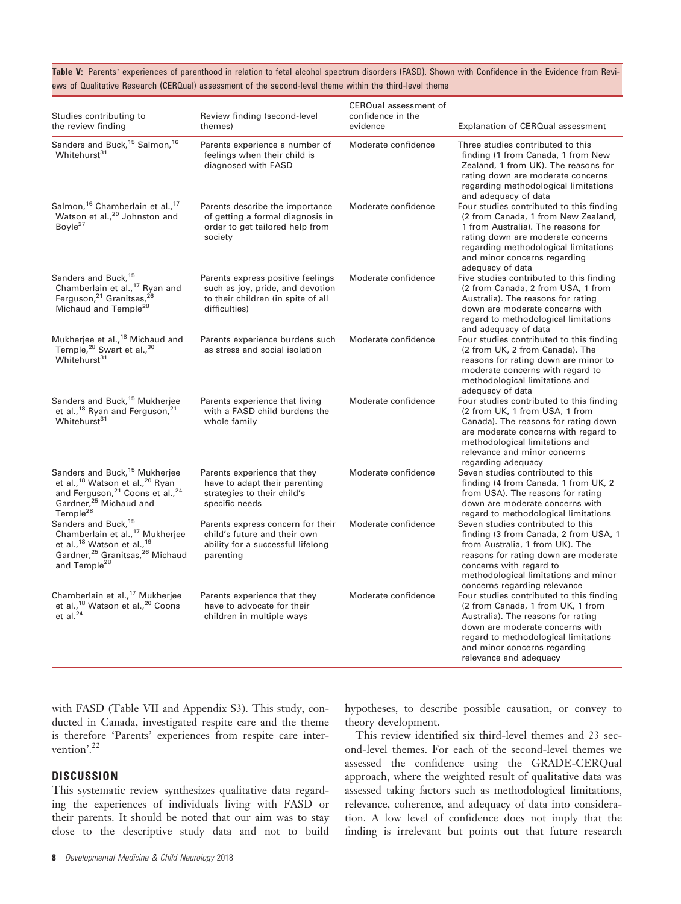Table V: Parents' experiences of parenthood in relation to fetal alcohol spectrum disorders (FASD). Shown with Confidence in the Evidence from Reviews of Qualitative Research (CERQual) assessment of the second-level theme within the third-level theme

| Studies contributing to<br>the review finding                                                                                                                                                                                 | Review finding (second-level<br>themes)                                                                                      | CERQual assessment of<br>confidence in the<br>evidence | Explanation of CERQual assessment                                                                                                                                                                                                                        |
|-------------------------------------------------------------------------------------------------------------------------------------------------------------------------------------------------------------------------------|------------------------------------------------------------------------------------------------------------------------------|--------------------------------------------------------|----------------------------------------------------------------------------------------------------------------------------------------------------------------------------------------------------------------------------------------------------------|
| Sanders and Buck, <sup>15</sup> Salmon, <sup>16</sup><br>Whitehurst <sup>31</sup>                                                                                                                                             | Parents experience a number of<br>feelings when their child is<br>diagnosed with FASD                                        | Moderate confidence                                    | Three studies contributed to this<br>finding (1 from Canada, 1 from New<br>Zealand, 1 from UK). The reasons for<br>rating down are moderate concerns<br>regarding methodological limitations<br>and adequacy of data                                     |
| Salmon, <sup>16</sup> Chamberlain et al., <sup>17</sup><br>Watson et al., <sup>20</sup> Johnston and<br>Bovle <sup>27</sup>                                                                                                   | Parents describe the importance<br>of getting a formal diagnosis in<br>order to get tailored help from<br>society            | Moderate confidence                                    | Four studies contributed to this finding<br>(2 from Canada, 1 from New Zealand,<br>1 from Australia). The reasons for<br>rating down are moderate concerns<br>regarding methodological limitations<br>and minor concerns regarding<br>adequacy of data   |
| Sanders and Buck, 15<br>Chamberlain et al., <sup>17</sup> Ryan and<br>Ferguson, <sup>21</sup> Granitsas, <sup>26</sup><br>Michaud and Temple <sup>28</sup>                                                                    | Parents express positive feelings<br>such as joy, pride, and devotion<br>to their children (in spite of all<br>difficulties) | Moderate confidence                                    | Five studies contributed to this finding<br>(2 from Canada, 2 from USA, 1 from<br>Australia). The reasons for rating<br>down are moderate concerns with<br>regard to methodological limitations<br>and adequacy of data                                  |
| Mukherjee et al., <sup>18</sup> Michaud and<br>Temple, <sup>28</sup> Swart et al., <sup>30</sup><br>Whitehurst <sup>31</sup>                                                                                                  | Parents experience burdens such<br>as stress and social isolation                                                            | Moderate confidence                                    | Four studies contributed to this finding<br>(2 from UK, 2 from Canada). The<br>reasons for rating down are minor to<br>moderate concerns with regard to<br>methodological limitations and<br>adequacy of data                                            |
| Sanders and Buck, <sup>15</sup> Mukherjee<br>et al., <sup>18</sup> Ryan and Ferguson, <sup>21</sup><br>Whitehurst <sup>31</sup>                                                                                               | Parents experience that living<br>with a FASD child burdens the<br>whole family                                              | Moderate confidence                                    | Four studies contributed to this finding<br>(2 from UK, 1 from USA, 1 from<br>Canada). The reasons for rating down<br>are moderate concerns with regard to<br>methodological limitations and<br>relevance and minor concerns<br>regarding adequacy       |
| Sanders and Buck, <sup>15</sup> Mukherjee<br>et al., <sup>18</sup> Watson et al., <sup>20</sup> Ryan<br>and Ferguson, <sup>21</sup> Coons et al., <sup>24</sup><br>Gardner, <sup>25</sup> Michaud and<br>Temple <sup>28</sup> | Parents experience that they<br>have to adapt their parenting<br>strategies to their child's<br>specific needs               | Moderate confidence                                    | Seven studies contributed to this<br>finding (4 from Canada, 1 from UK, 2<br>from USA). The reasons for rating<br>down are moderate concerns with<br>regard to methodological limitations                                                                |
| Sanders and Buck, <sup>15</sup><br>Chamberlain et al., <sup>17</sup> Mukherjee<br>et al., <sup>18</sup> Watson et al., <sup>19</sup><br>Gardner, <sup>25</sup> Granitsas, <sup>26</sup> Michaud<br>and Temple <sup>28</sup>   | Parents express concern for their<br>child's future and their own<br>ability for a successful lifelong<br>parenting          | Moderate confidence                                    | Seven studies contributed to this<br>finding (3 from Canada, 2 from USA, 1<br>from Australia, 1 from UK). The<br>reasons for rating down are moderate<br>concerns with regard to<br>methodological limitations and minor<br>concerns regarding relevance |
| Chamberlain et al., <sup>17</sup> Mukherjee<br>et al., <sup>18</sup> Watson et al., <sup>20</sup> Coons<br>$et$ al. $^{24}$                                                                                                   | Parents experience that they<br>have to advocate for their<br>children in multiple ways                                      | Moderate confidence                                    | Four studies contributed to this finding<br>(2 from Canada, 1 from UK, 1 from<br>Australia). The reasons for rating<br>down are moderate concerns with<br>regard to methodological limitations<br>and minor concerns regarding<br>relevance and adequacy |

with FASD (Table VII and Appendix S3). This study, conducted in Canada, investigated respite care and the theme is therefore 'Parents' experiences from respite care intervention'.<sup>22</sup>

## **DISCUSSION**

This systematic review synthesizes qualitative data regarding the experiences of individuals living with FASD or their parents. It should be noted that our aim was to stay close to the descriptive study data and not to build

hypotheses, to describe possible causation, or convey to theory development.

This review identified six third-level themes and 23 second-level themes. For each of the second-level themes we assessed the confidence using the GRADE-CERQual approach, where the weighted result of qualitative data was assessed taking factors such as methodological limitations, relevance, coherence, and adequacy of data into consideration. A low level of confidence does not imply that the finding is irrelevant but points out that future research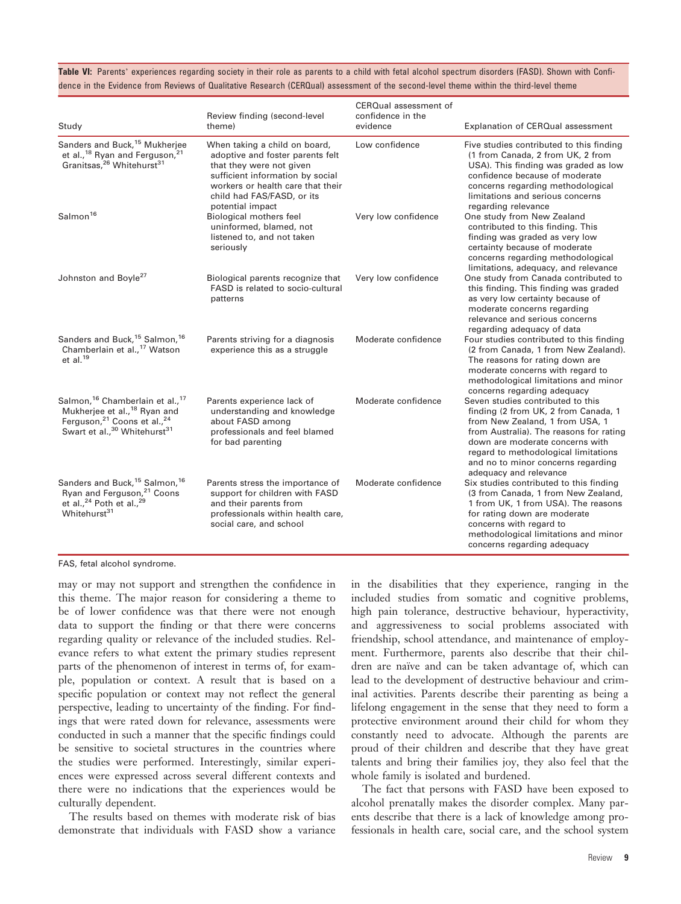Table VI: Parents' experiences regarding society in their role as parents to a child with fetal alcohol spectrum disorders (FASD). Shown with Confidence in the Evidence from Reviews of Qualitative Research (CERQual) assessment of the second-level theme within the third-level theme

| Study                                                                                                                                                                                                              | Review finding (second-level<br>theme)                                                                                                                                                                                   | CERQual assessment of<br>confidence in the<br>evidence | Explanation of CERQual assessment                                                                                                                                                                                                                                                                  |
|--------------------------------------------------------------------------------------------------------------------------------------------------------------------------------------------------------------------|--------------------------------------------------------------------------------------------------------------------------------------------------------------------------------------------------------------------------|--------------------------------------------------------|----------------------------------------------------------------------------------------------------------------------------------------------------------------------------------------------------------------------------------------------------------------------------------------------------|
| Sanders and Buck, <sup>15</sup> Mukherjee<br>et al., <sup>18</sup> Ryan and Ferguson, <sup>21</sup><br>Granitsas, <sup>26</sup> Whitehurst <sup>31</sup>                                                           | When taking a child on board,<br>adoptive and foster parents felt<br>that they were not given<br>sufficient information by social<br>workers or health care that their<br>child had FAS/FASD, or its<br>potential impact | Low confidence                                         | Five studies contributed to this finding<br>(1 from Canada, 2 from UK, 2 from<br>USA). This finding was graded as low<br>confidence because of moderate<br>concerns regarding methodological<br>limitations and serious concerns<br>regarding relevance                                            |
| Salmon <sup>16</sup>                                                                                                                                                                                               | Biological mothers feel<br>uninformed, blamed, not<br>listened to, and not taken<br>seriously                                                                                                                            | Very low confidence                                    | One study from New Zealand<br>contributed to this finding. This<br>finding was graded as very low<br>certainty because of moderate<br>concerns regarding methodological<br>limitations, adequacy, and relevance                                                                                    |
| Johnston and Boyle <sup>27</sup>                                                                                                                                                                                   | Biological parents recognize that<br>FASD is related to socio-cultural<br>patterns                                                                                                                                       | Very low confidence                                    | One study from Canada contributed to<br>this finding. This finding was graded<br>as very low certainty because of<br>moderate concerns regarding<br>relevance and serious concerns<br>regarding adequacy of data                                                                                   |
| Sanders and Buck, <sup>15</sup> Salmon, <sup>16</sup><br>Chamberlain et al., <sup>17</sup> Watson<br>et al. $^{19}$                                                                                                | Parents striving for a diagnosis<br>experience this as a struggle                                                                                                                                                        | Moderate confidence                                    | Four studies contributed to this finding<br>(2 from Canada, 1 from New Zealand).<br>The reasons for rating down are<br>moderate concerns with regard to<br>methodological limitations and minor<br>concerns regarding adequacy                                                                     |
| Salmon, <sup>16</sup> Chamberlain et al., <sup>17</sup><br>Mukherjee et al., <sup>18</sup> Ryan and<br>Ferguson, <sup>21</sup> Coons et al., <sup>24</sup><br>Swart et al., <sup>30</sup> Whitehurst <sup>31</sup> | Parents experience lack of<br>understanding and knowledge<br>about FASD among<br>professionals and feel blamed<br>for bad parenting                                                                                      | Moderate confidence                                    | Seven studies contributed to this<br>finding (2 from UK, 2 from Canada, 1<br>from New Zealand, 1 from USA, 1<br>from Australia). The reasons for rating<br>down are moderate concerns with<br>regard to methodological limitations<br>and no to minor concerns regarding<br>adequacy and relevance |
| Sanders and Buck, <sup>15</sup> Salmon, <sup>16</sup><br>Ryan and Ferguson, $2^1$ Coons<br>et al., $2^4$ Poth et al., $2^9$<br>Whitehurst <sup>31</sup>                                                            | Parents stress the importance of<br>support for children with FASD<br>and their parents from<br>professionals within health care,<br>social care, and school                                                             | Moderate confidence                                    | Six studies contributed to this finding<br>(3 from Canada, 1 from New Zealand,<br>1 from UK, 1 from USA). The reasons<br>for rating down are moderate<br>concerns with regard to<br>methodological limitations and minor<br>concerns regarding adequacy                                            |

FAS, fetal alcohol syndrome.

may or may not support and strengthen the confidence in this theme. The major reason for considering a theme to be of lower confidence was that there were not enough data to support the finding or that there were concerns regarding quality or relevance of the included studies. Relevance refers to what extent the primary studies represent parts of the phenomenon of interest in terms of, for example, population or context. A result that is based on a specific population or context may not reflect the general perspective, leading to uncertainty of the finding. For findings that were rated down for relevance, assessments were conducted in such a manner that the specific findings could be sensitive to societal structures in the countries where the studies were performed. Interestingly, similar experiences were expressed across several different contexts and there were no indications that the experiences would be culturally dependent.

The results based on themes with moderate risk of bias demonstrate that individuals with FASD show a variance in the disabilities that they experience, ranging in the included studies from somatic and cognitive problems, high pain tolerance, destructive behaviour, hyperactivity, and aggressiveness to social problems associated with friendship, school attendance, and maintenance of employment. Furthermore, parents also describe that their children are naïve and can be taken advantage of, which can lead to the development of destructive behaviour and criminal activities. Parents describe their parenting as being a lifelong engagement in the sense that they need to form a protective environment around their child for whom they constantly need to advocate. Although the parents are proud of their children and describe that they have great talents and bring their families joy, they also feel that the whole family is isolated and burdened.

The fact that persons with FASD have been exposed to alcohol prenatally makes the disorder complex. Many parents describe that there is a lack of knowledge among professionals in health care, social care, and the school system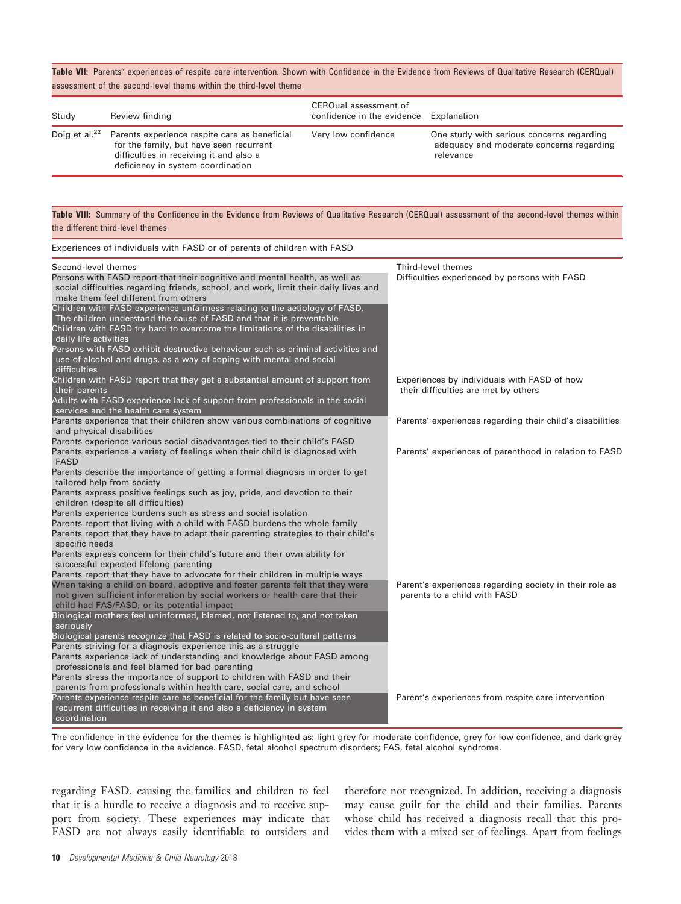Table VII: Parents' experiences of respite care intervention. Shown with Confidence in the Evidence from Reviews of Qualitative Research (CERQual) assessment of the second-level theme within the third-level theme

| Study               | Review finding                                                                                                                                                           | CERQual assessment of<br>confidence in the evidence Explanation |                                                                                                    |
|---------------------|--------------------------------------------------------------------------------------------------------------------------------------------------------------------------|-----------------------------------------------------------------|----------------------------------------------------------------------------------------------------|
| Doig et al. $^{22}$ | Parents experience respite care as beneficial<br>for the family, but have seen recurrent<br>difficulties in receiving it and also a<br>deficiency in system coordination | Very low confidence                                             | One study with serious concerns regarding<br>adequacy and moderate concerns regarding<br>relevance |

#### Table VIII: Summary of the Confidence in the Evidence from Reviews of Qualitative Research (CERQual) assessment of the second-level themes within the different third-level themes

| Experiences of individuals with FASD or of parents of children with FASD                                                                                                                                                                                                                      |                                                                                         |
|-----------------------------------------------------------------------------------------------------------------------------------------------------------------------------------------------------------------------------------------------------------------------------------------------|-----------------------------------------------------------------------------------------|
| Second-level themes<br>Persons with FASD report that their cognitive and mental health, as well as<br>social difficulties regarding friends, school, and work, limit their daily lives and<br>make them feel different from others                                                            | Third-level themes<br>Difficulties experienced by persons with FASD                     |
| Children with FASD experience unfairness relating to the aetiology of FASD.<br>The children understand the cause of FASD and that it is preventable<br>Children with FASD try hard to overcome the limitations of the disabilities in<br>daily life activities                                |                                                                                         |
| Persons with FASD exhibit destructive behaviour such as criminal activities and<br>use of alcohol and drugs, as a way of coping with mental and social<br>difficulties                                                                                                                        |                                                                                         |
| Children with FASD report that they get a substantial amount of support from<br>their parents<br>Adults with FASD experience lack of support from professionals in the social                                                                                                                 | Experiences by individuals with FASD of how<br>their difficulties are met by others     |
| services and the health care system<br>Parents experience that their children show various combinations of cognitive<br>and physical disabilities                                                                                                                                             | Parents' experiences regarding their child's disabilities                               |
| Parents experience various social disadvantages tied to their child's FASD<br>Parents experience a variety of feelings when their child is diagnosed with<br><b>FASD</b>                                                                                                                      | Parents' experiences of parenthood in relation to FASD                                  |
| Parents describe the importance of getting a formal diagnosis in order to get<br>tailored help from society<br>Parents express positive feelings such as joy, pride, and devotion to their                                                                                                    |                                                                                         |
| children (despite all difficulties)<br>Parents experience burdens such as stress and social isolation                                                                                                                                                                                         |                                                                                         |
| Parents report that living with a child with FASD burdens the whole family<br>Parents report that they have to adapt their parenting strategies to their child's<br>specific needs                                                                                                            |                                                                                         |
| Parents express concern for their child's future and their own ability for<br>successful expected lifelong parenting                                                                                                                                                                          |                                                                                         |
| Parents report that they have to advocate for their children in multiple ways<br>When taking a child on board, adoptive and foster parents felt that they were<br>not given sufficient information by social workers or health care that their<br>child had FAS/FASD, or its potential impact | Parent's experiences regarding society in their role as<br>parents to a child with FASD |
| Biological mothers feel uninformed, blamed, not listened to, and not taken<br>seriously                                                                                                                                                                                                       |                                                                                         |
| Biological parents recognize that FASD is related to socio-cultural patterns<br>Parents striving for a diagnosis experience this as a struggle<br>Parents experience lack of understanding and knowledge about FASD among<br>professionals and feel blamed for bad parenting                  |                                                                                         |
| Parents stress the importance of support to children with FASD and their<br>parents from professionals within health care, social care, and school<br>Parents experience respite care as beneficial for the family but have seen                                                              | Parent's experiences from respite care intervention                                     |
| recurrent difficulties in receiving it and also a deficiency in system<br>coordination                                                                                                                                                                                                        |                                                                                         |

The confidence in the evidence for the themes is highlighted as: light grey for moderate confidence, grey for low confidence, and dark grey for very low confidence in the evidence. FASD, fetal alcohol spectrum disorders; FAS, fetal alcohol syndrome.

regarding FASD, causing the families and children to feel that it is a hurdle to receive a diagnosis and to receive support from society. These experiences may indicate that FASD are not always easily identifiable to outsiders and

therefore not recognized. In addition, receiving a diagnosis may cause guilt for the child and their families. Parents whose child has received a diagnosis recall that this provides them with a mixed set of feelings. Apart from feelings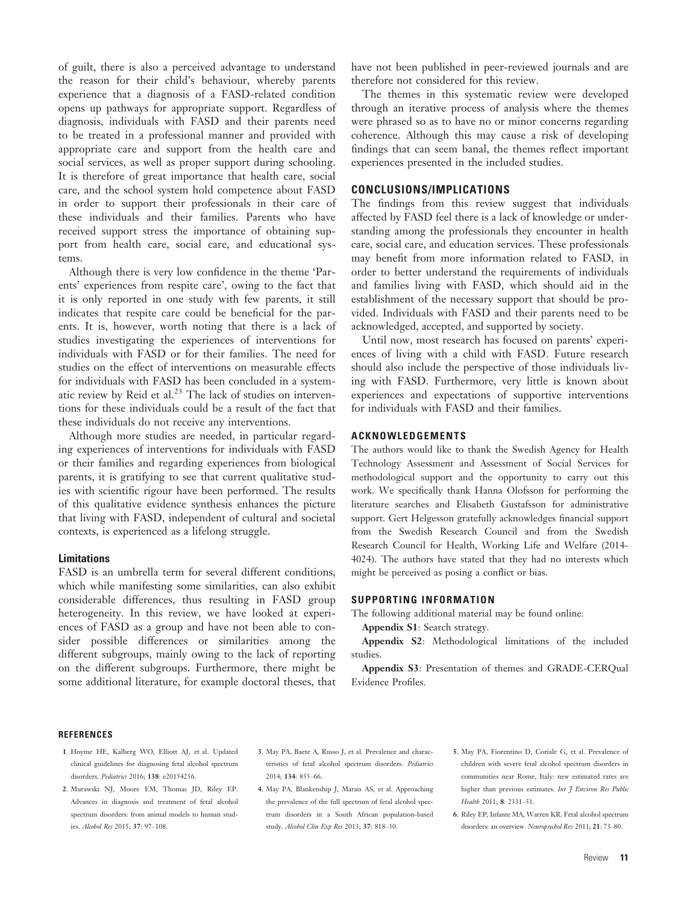of guilt, there is also a perceived advantage to understand the reason for their child's behaviour, whereby parents experience that a diagnosis of a FASD-related condition opens up pathways for appropriate support. Regardless of diagnosis, individuals with FASD and their parents need to be treated in a professional manner and provided with appropriate care and support from the health care and social services, as well as proper support during schooling. It is therefore of great importance that health care, social care, and the school system hold competence about FASD in order to support their professionals in their care of these individuals and their families. Parents who have received support stress the importance of obtaining support from health care, social care, and educational systems.

Although there is very low confidence in the theme 'Parents' experiences from respite care', owing to the fact that it is only reported in one study with few parents, it still indicates that respite care could be beneficial for the parents. It is, however, worth noting that there is a lack of studies investigating the experiences of interventions for individuals with FASD or for their families. The need for studies on the effect of interventions on measurable effects for individuals with FASD has been concluded in a systematic review by Reid et al. $^{23}$  The lack of studies on interventions for these individuals could be a result of the fact that these individuals do not receive any interventions.

Although more studies are needed, in particular regarding experiences of interventions for individuals with FASD or their families and regarding experiences from biological parents, it is gratifying to see that current qualitative studies with scientific rigour have been performed. The results of this qualitative evidence synthesis enhances the picture that living with FASD, independent of cultural and societal contexts, is experienced as a lifelong struggle.

#### Limitations

FASD is an umbrella term for several different conditions, which while manifesting some similarities, can also exhibit considerable differences, thus resulting in FASD group heterogeneity. In this review, we have looked at experiences of FASD as a group and have not been able to consider possible differences or similarities among the different subgroups, mainly owing to the lack of reporting on the different subgroups. Furthermore, there might be some additional literature, for example doctoral theses, that have not been published in peer-reviewed journals and are therefore not considered for this review.

The themes in this systematic review were developed through an iterative process of analysis where the themes were phrased so as to have no or minor concerns regarding coherence. Although this may cause a risk of developing findings that can seem banal, the themes reflect important experiences presented in the included studies.

#### CONCLUSIONS/IMPLICATIONS

The findings from this review suggest that individuals affected by FASD feel there is a lack of knowledge or understanding among the professionals they encounter in health care, social care, and education services. These professionals may benefit from more information related to FASD, in order to better understand the requirements of individuals and families living with FASD, which should aid in the establishment of the necessary support that should be provided. Individuals with FASD and their parents need to be acknowledged, accepted, and supported by society.

Until now, most research has focused on parents' experiences of living with a child with FASD. Future research should also include the perspective of those individuals living with FASD. Furthermore, very little is known about experiences and expectations of supportive interventions for individuals with FASD and their families.

## ACKNOWLEDGEMENTS

The authors would like to thank the Swedish Agency for Health Technology Assessment and Assessment of Social Services for methodological support and the opportunity to carry out this work. We specifically thank Hanna Olofsson for performing the literature searches and Elisabeth Gustafsson for administrative support. Gert Helgesson gratefully acknowledges financial support from the Swedish Research Council and from the Swedish Research Council for Health, Working Life and Welfare (2014- 4024). The authors have stated that they had no interests which might be perceived as posing a conflict or bias.

#### SUPPORTING INFORMATION

The following additional material may be found online:

Appendix S1: Search strategy.

Appendix S2: Methodological limitations of the included studies.

Appendix S3: Presentation of themes and GRADE-CERQual Evidence Profiles.

#### **REFERENCES**

- 1. Hoyme HE, Kalberg WO, Elliott AJ, et al. Updated clinical guidelines for diagnosing fetal alcohol spectrum disorders. Pediatrics 2016; 138: e20154256.
- 2. Murawski NJ, Moore EM, Thomas JD, Riley EP. Advances in diagnosis and treatment of fetal alcohol spectrum disorders: from animal models to human studies. Alcohol Res 2015; 37: 97–108.
- 3. May PA, Baete A, Russo J, et al. Prevalence and characteristics of fetal alcohol spectrum disorders. Pediatrics 2014; 134: 855–66.
- 4. May PA, Blankenship J, Marais AS, et al. Approaching the prevalence of the full spectrum of fetal alcohol spectrum disorders in a South African population-based study. Alcohol Clin Exp Res 2013; 37: 818–30.
- 5. May PA, Fiorentino D, Coriale G, et al. Prevalence of children with severe fetal alcohol spectrum disorders in communities near Rome, Italy: new estimated rates are higher than previous estimates. Int 7 Environ Res Public Health 2011; 8: 2331–51.
- 6. Riley EP, Infante MA, Warren KR. Fetal alcohol spectrum disorders: an overview. Neuropsychol. Rev. 2011; 21: 73-80.